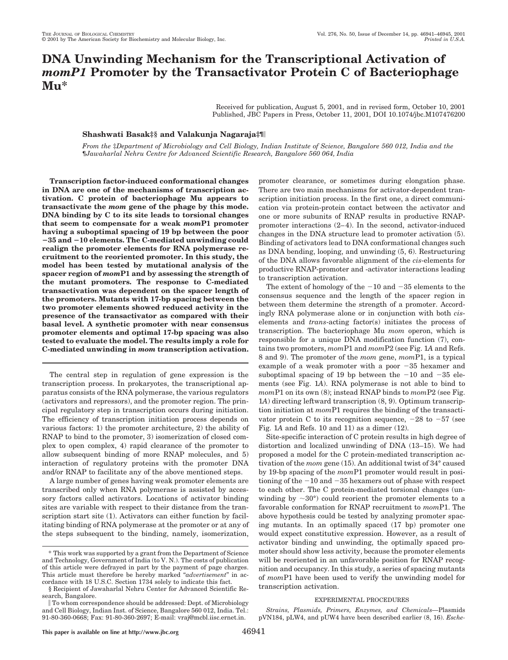# **DNA Unwinding Mechanism for the Transcriptional Activation of** *momP1* **Promoter by the Transactivator Protein C of Bacteriophage Mu\***

Received for publication, August 5, 2001, and in revised form, October 10, 2001 Published, JBC Papers in Press, October 11, 2001, DOI 10.1074/jbc.M107476200

# **Shashwati Basak‡§ and Valakunja Nagaraja‡¶**

*From the* ‡*Department of Microbiology and Cell Biology, Indian Institute of Science, Bangalore 560 012, India and the* ¶*Jawaharlal Nehru Centre for Advanced Scientific Research, Bangalore 560 064, India*

**Transcription factor-induced conformational changes in DNA are one of the mechanisms of transcription activation. C protein of bacteriophage Mu appears to transactivate the** *mom* **gene of the phage by this mode. DNA binding by C to its site leads to torsional changes that seem to compensate for a weak** *mom***P1 promoter having a suboptimal spacing of 19 bp between the poor 35 and 10 elements. The C-mediated unwinding could realign the promoter elements for RNA polymerase recruitment to the reoriented promoter. In this study, the model has been tested by mutational analysis of the spacer region of** *mom***P1 and by assessing the strength of the mutant promoters. The response to C-mediated transactivation was dependent on the spacer length of the promoters. Mutants with 17-bp spacing between the two promoter elements showed reduced activity in the presence of the transactivator as compared with their basal level. A synthetic promoter with near consensus promoter elements and optimal 17-bp spacing was also tested to evaluate the model. The results imply a role for C-mediated unwinding in** *mom* **transcription activation.**

The central step in regulation of gene expression is the transcription process. In prokaryotes, the transcriptional apparatus consists of the RNA polymerase, the various regulators (activators and repressors), and the promoter region. The principal regulatory step in transcription occurs during initiation. The efficiency of transcription initiation process depends on various factors: 1) the promoter architecture, 2) the ability of RNAP to bind to the promoter, 3) isomerization of closed complex to open complex, 4) rapid clearance of the promoter to allow subsequent binding of more RNAP molecules, and 5) interaction of regulatory proteins with the promoter DNA and/or RNAP to facilitate any of the above mentioned steps.

A large number of genes having weak promoter elements are transcribed only when RNA polymerase is assisted by accessory factors called activators. Locations of activator binding sites are variable with respect to their distance from the transcription start site (1). Activators can either function by facilitating binding of RNA polymerase at the promoter or at any of the steps subsequent to the binding, namely, isomerization,

promoter clearance, or sometimes during elongation phase. There are two main mechanisms for activator-dependent transcription initiation process. In the first one, a direct communication via protein-protein contact between the activator and one or more subunits of RNAP results in productive RNAPpromoter interactions (2–4). In the second, activator-induced changes in the DNA structure lead to promoter activation (5). Binding of activators lead to DNA conformational changes such as DNA bending, looping, and unwinding (5, 6). Restructuring of the DNA allows favorable alignment of the *cis*-elements for productive RNAP-promoter and -activator interactions leading to transcription activation.

The extent of homology of the  $-10$  and  $-35$  elements to the consensus sequence and the length of the spacer region in between them determine the strength of a promoter. Accordingly RNA polymerase alone or in conjunction with both *cis*elements and *trans*-acting factor(s) initiates the process of transcription. The bacteriophage Mu *mom* operon, which is responsible for a unique DNA modification function (7), contains two promoters, *mom*P1 and *mom*P2 (see Fig. 1*A* and Refs. 8 and 9). The promoter of the *mom* gene, *mom*P1, is a typical example of a weak promoter with a poor  $-35$  hexamer and suboptimal spacing of 19 bp between the  $-10$  and  $-35$  elements (see Fig. 1*A*). RNA polymerase is not able to bind to *mom*P1 on its own (8); instead RNAP binds to *mom*P2 (see Fig. 1*A*) directing leftward transcription (8, 9). Optimum transcription initiation at *mom*P1 requires the binding of the transactivator protein C to its recognition sequence,  $-28$  to  $-57$  (see Fig. 1*A* and Refs. 10 and 11) as a dimer (12).

Site-specific interaction of C protein results in high degree of distortion and localized unwinding of DNA (13–15). We had proposed a model for the C protein-mediated transcription activation of the *mom* gene (15). An additional twist of 34° caused by 19-bp spacing of the *mom*P1 promoter would result in positioning of the  $-10$  and  $-35$  hexamers out of phase with respect to each other. The C protein-mediated torsional changes (unwinding by  $\sim 30^{\circ}$  could reorient the promoter elements to a favorable conformation for RNAP recruitment to *mom*P1. The above hypothesis could be tested by analyzing promoter spacing mutants. In an optimally spaced (17 bp) promoter one would expect constitutive expression. However, as a result of activator binding and unwinding, the optimally spaced promoter should show less activity, because the promoter elements will be reoriented in an unfavorable position for RNAP recognition and occupancy. In this study, a series of spacing mutants of *mom*P1 have been used to verify the unwinding model for transcription activation.

## EXPERIMENTAL PROCEDURES

*Strains, Plasmids, Primers, Enzymes, and Chemicals—*Plasmids pVN184, pLW4, and pUW4 have been described earlier (8, 16). *Esche-*

<sup>\*</sup> This work was supported by a grant from the Department of Science and Technology, Government of India (to V. N.). The costs of publication of this article were defrayed in part by the payment of page charges. This article must therefore be hereby marked "*advertisement*" in accordance with 18 U.S.C. Section 1734 solely to indicate this fact.

<sup>§</sup> Recipient of Jawaharlal Nehru Center for Advanced Scientific Research, Bangalore.

To whom correspondence should be addressed: Dept. of Microbiology and Cell Biology, Indian Inst. of Science, Bangalore 560 012, India. Tel.: 91-80-360-0668; Fax: 91-80-360-2697; E-mail: vraj@mcbl.iisc.ernet.in.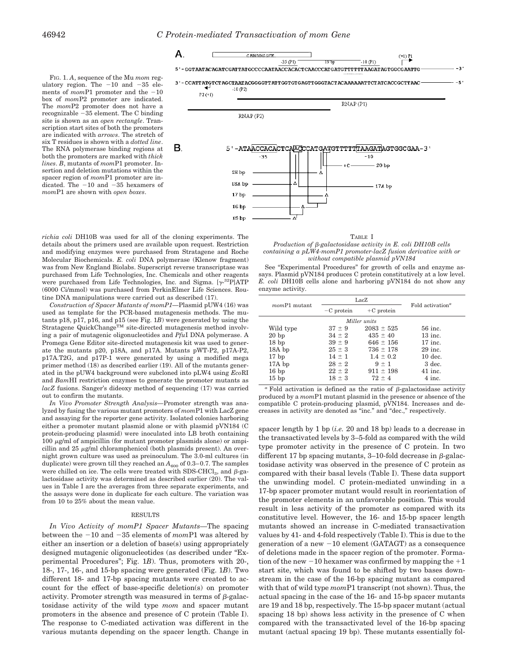FIG. 1. *A*, sequence of the Mu *mom* regulatory region. The  $-10$  and  $-35$  elements of  $momP1$  promoter and the  $-10$ box of *mom*P2 promoter are indicated. The *mom*P2 promoter does not have a recognizable 35 element. The C binding site is shown as an *open rectangle*. Transcription start sites of both the promoters are indicated with *arrows*. The stretch of six T residues is shown with a *dotted line*. The RNA polymerase binding regions at both the promoters are marked with *thick lines*. *B*, mutants of *mom*P1 promoter. Insertion and deletion mutations within the spacer region of *mom*P1 promoter are indicated. The  $-10$  and  $-35$  hexamers of *mom*P1 are shown with *open boxes*.



*richia coli* DH10B was used for all of the cloning experiments. The details about the primers used are available upon request. Restriction and modifying enzymes were purchased from Stratagene and Roche Molecular Biochemicals. *E. coli* DNA polymerase (Klenow fragment) was from New England Biolabs. Superscript reverse transcriptase was purchased from Life Technologies, Inc. Chemicals and other reagents were purchased from Life Technologies, Inc. and Sigma. [ $\gamma$ -<sup>32</sup>P]ATP (6000 Ci/mmol) was purchased from PerkinElmer Life Sciences. Routine DNA manipulations were carried out as described (17).

*Construction of Spacer Mutants of momP1—*Plasmid pUW4 (16) was used as template for the PCR-based mutagenesis methods. The mutants p18, p17, p16, and p15 (see Fig. 1*B*) were generated by using the Stratagene QuickChange<sup>TM</sup> site-directed mutagenesis method involving a pair of mutagenic oligonucleotides and *Pfu*I DNA polymerase. A Promega Gene Editor site-directed mutagenesis kit was used to generate the mutants p20, p18A, and p17A. Mutants pWT-P2, p17A-P2, p17A.T2G, and p17P-1 were generated by using a modified mega primer method (18) as described earlier (19). All of the mutants generated in the pUW4 background were subcloned into pLW4 using *Eco*RI and *Bam*HI restriction enzymes to generate the promoter mutants as *lacZ* fusions. Sanger's dideoxy method of sequencing (17) was carried out to confirm the mutants.

*In Vivo Promoter Strength Analysis—*Promoter strength was analyzed by fusing the various mutant promoters of *mom*P1 with LacZ gene and assaying for the reporter gene activity. Isolated colonies harboring either a promoter mutant plasmid alone or with plasmid pVN184 (C protein-producing plasmid) were inoculated into LB broth containing  $100 \mu g/ml$  of ampicillin (for mutant promoter plasmids alone) or ampicillin and  $25 \mu g/ml$  chloramphenicol (both plasmids present). An overnight grown culture was used as preinoculum. The 3.0-ml cultures (in duplicate) were grown till they reached an  $A_{600}$  of 0.3–0.7. The samples were chilled on ice. The cells were treated with SDS-CHCl $_{2}$ , and  $\beta$ -galactosidase activity was determined as described earlier (20). The values in Table I are the averages from three separate experiments, and the assays were done in duplicate for each culture. The variation was from 10 to 25% about the mean value.

#### **RESULTS**

*In Vivo Activity of momP1 Spacer Mutants—*The spacing between the  $-10$  and  $-35$  elements of  $momP1$  was altered by either an insertion or a deletion of base(s) using appropriately designed mutagenic oligonucleotides (as described under "Experimental Procedures"; Fig. 1*B*). Thus, promoters with 20-, 18-, 17-, 16-, and 15-bp spacing were generated (Fig. 1*B*). Two different 18- and 17-bp spacing mutants were created to account for the effect of base-specific deletion(s) on promoter activity. Promoter strength was measured in terms of  $\beta$ -galactosidase activity of the wild type *mom* and spacer mutant promoters in the absence and presence of C protein (Table I). The response to C-mediated activation was different in the various mutants depending on the spacer length. Change in



See "Experimental Procedures" for growth of cells and enzyme assays. Plasmid pVN184 produces C protein constitutively at a low level. *E. coli* DH10B cells alone and harboring pVN184 do not show any enzyme activity.

|              | $momP1$ mutant   | LacZ         |                | Fold activation <sup><math>a</math></sup> |
|--------------|------------------|--------------|----------------|-------------------------------------------|
|              |                  | $-C$ protein | $+C$ protein   |                                           |
| Miller units |                  |              |                |                                           |
|              | Wild type        | $37 \pm 9$   | $2083 \pm 525$ | 56 inc.                                   |
|              | 20bp             | $34 \pm 2$   | $435 \pm 40$   | $13$ inc.                                 |
|              | 18 <sub>bp</sub> | $39 \pm 9$   | $646 \pm 156$  | $17$ inc.                                 |
|              | $18A$ bp         | $25 \pm 3$   | $736 \pm 178$  | $29$ inc.                                 |
|              | $17$ bp          | $14 \pm 1$   | $1.4 \pm 0.2$  | $10$ dec.                                 |
|              | $17A$ bp         | $28 \pm 2$   | $9 \pm 1$      | 3 dec.                                    |
|              | 16bp             | $22 + 2$     | $911 \pm 198$  | $41$ inc.                                 |
|              | 15bp             | $18 + 3$     | $72 + 4$       | $4$ inc.                                  |
|              |                  |              |                |                                           |

 $\alpha$  Fold activation is defined as the ratio of  $\beta$ -galactosidase activity produced by a *mom*P1 mutant plasmid in the presence or absence of the compatible C protein-producing plasmid, pVN184. Increases and decreases in activity are denoted as "inc." and "dec.," respectively.

spacer length by 1 bp (*i.e.* 20 and 18 bp) leads to a decrease in the transactivated levels by 3–5-fold as compared with the wild type promoter activity in the presence of C protein. In two different 17 bp spacing mutants, 3-10-fold decrease in  $\beta$ -galactosidase activity was observed in the presence of C protein as compared with their basal levels (Table I). These data support the unwinding model. C protein-mediated unwinding in a 17-bp spacer promoter mutant would result in reorientation of the promoter elements in an unfavorable position. This would result in less activity of the promoter as compared with its constitutive level. However, the 16- and 15-bp spacer length mutants showed an increase in C-mediated transactivation values by 41- and 4-fold respectively (Table I). This is due to the generation of a new  $-10$  element (GATAGT) as a consequence of deletions made in the spacer region of the promoter. Formation of the new  $-10$  hexamer was confirmed by mapping the  $+1$ start site, which was found to be shifted by two bases downstream in the case of the 16-bp spacing mutant as compared with that of wild type *mom*P1 transcript (not shown). Thus, the actual spacing in the case of the 16- and 15-bp spacer mutants are 19 and 18 bp, respectively. The 15-bp spacer mutant (actual spacing 18 bp) shows less activity in the presence of C when compared with the transactivated level of the 16-bp spacing mutant (actual spacing 19 bp). These mutants essentially fol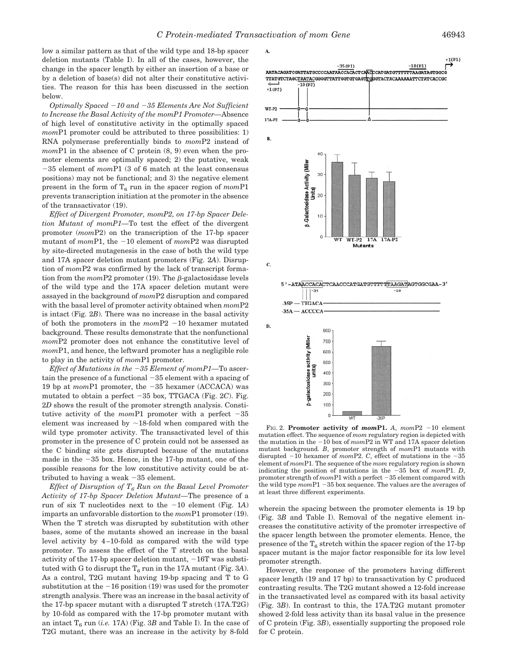low a similar pattern as that of the wild type and 18-bp spacer deletion mutants (Table I). In all of the cases, however, the change in the spacer length by either an insertion of a base or by a deletion of base(s) did not alter their constitutive activities. The reason for this has been discussed in the section below.

*Optimally Spaced 10 and 35 Elements Are Not Sufficient to Increase the Basal Activity of the momP1 Promoter—*Absence of high level of constitutive activity in the optimally spaced *mom*P1 promoter could be attributed to three possibilities: 1) RNA polymerase preferentially binds to *mom*P2 instead of *mom*P1 in the absence of C protein (8, 9) even when the promoter elements are optimally spaced; 2) the putative, weak 35 element of *mom*P1 (3 of 6 match at the least consensus positions) may not be functional; and 3) the negative element present in the form of  $T_6$  run in the spacer region of  $momP1$ prevents transcription initiation at the promoter in the absence of the transactivator (19).

*Effect of Divergent Promoter, momP2, on 17-bp Spacer Deletion Mutant of momP1—*To test the effect of the divergent promoter (*mom*P2) on the transcription of the 17-bp spacer mutant of *mom*P1, the -10 element of *mom*P2 was disrupted by site-directed mutagenesis in the case of both the wild type and 17A spacer deletion mutant promoters (Fig. 2*A*). Disruption of *mom*P2 was confirmed by the lack of transcript formation from the  $momP2$  promoter (19). The  $\beta$ -galactosidase levels of the wild type and the 17A spacer deletion mutant were assayed in the background of *mom*P2 disruption and compared with the basal level of promoter activity obtained when *mom*P2 is intact (Fig. 2*B*). There was no increase in the basal activity of both the promoters in the  $momP2 - 10$  hexamer mutated background. These results demonstrate that the nonfunctional *mom*P2 promoter does not enhance the constitutive level of *mom*P1, and hence, the leftward promoter has a negligible role to play in the activity of *mom*P1 promoter.

*Effect of Mutations in the 35 Element of momP1—*To ascertain the presence of a functional  $-35$  element with a spacing of 19 bp at *mom*P1 promoter, the -35 hexamer (ACCACA) was mutated to obtain a perfect  $-35$  box, TTGACA (Fig. 2*C*). Fig. 2*D* shows the result of the promoter strength analysis. Constitutive activity of the  $momP1$  promoter with a perfect  $-35$ element was increased by  $\sim$  18-fold when compared with the wild type promoter activity. The transactivated level of this promoter in the presence of C protein could not be assessed as the C binding site gets disrupted because of the mutations made in the  $-35$  box. Hence, in the 17-bp mutant, one of the possible reasons for the low constitutive activity could be attributed to having a weak  $-35$  element.

*Effect of Disruption of*  $T<sub>6</sub>$  *Run on the Basal Level Promoter Activity of 17-bp Spacer Deletion Mutant—*The presence of a run of six T nucleotides next to the  $-10$  element (Fig. 1*A*) imparts an unfavorable distortion to the *mom*P1 promoter (19). When the T stretch was disrupted by substitution with other bases, some of the mutants showed an increase in the basal level activity by 4–10-fold as compared with the wild type promoter. To assess the effect of the T stretch on the basal activity of the 17-bp spacer deletion mutant,  $-16T$  was substituted with G to disrupt the  $T_6$  run in the 17A mutant (Fig. 3A). As a control, T2G mutant having 19-bp spacing and T to G substitution at the  $-16$  position (19) was used for the promoter strength analysis. There was an increase in the basal activity of the 17-bp spacer mutant with a disrupted T stretch (17A.T2G) by 10-fold as compared with the 17-bp promoter mutant with an intact  $T_6$  run (*i.e.* 17A) (Fig. 3*B* and Table I). In the case of T2G mutant, there was an increase in the activity by 8-fold



FIG. 2. **Promoter activity of** *mom***P1.** A,  $momP2 - 10$  element mutation effect. The sequence of *mom* regulatory region is depicted with the mutation in the  $-10$  box of  $momP2$  in WT and 17A spacer deletion mutant background. *B*, promoter strength of *mom*P1 mutants with disrupted  $-10$  hexamer of *mom*P2. *C*, effect of mutations in the  $-35$ element of *mom*P1. The sequence of the *mom* regulatory region is shown indicating the position of mutations in the 35 box of *mom*P1. *D*, promoter strength of  $momP1$  with a perfect -35 element compared with the wild type  $momP1 - 35$  box sequence. The values are the averages of at least three different experiments.

wherein the spacing between the promoter elements is 19 bp (Fig. 3*B* and Table I). Removal of the negative element increases the constitutive activity of the promoter irrespective of the spacer length between the promoter elements. Hence, the presence of the  $T_6$  stretch within the spacer region of the 17-bp spacer mutant is the major factor responsible for its low level promoter strength.

However, the response of the promoters having different spacer length (19 and 17 bp) to transactivation by C produced contrasting results. The T2G mutant showed a 12-fold increase in the transactivated level as compared with its basal activity (Fig. 3*B*). In contrast to this, the 17A.T2G mutant promoter showed 2-fold less activity than its basal value in the presence of C protein (Fig. 3*B*), essentially supporting the proposed role for C protein.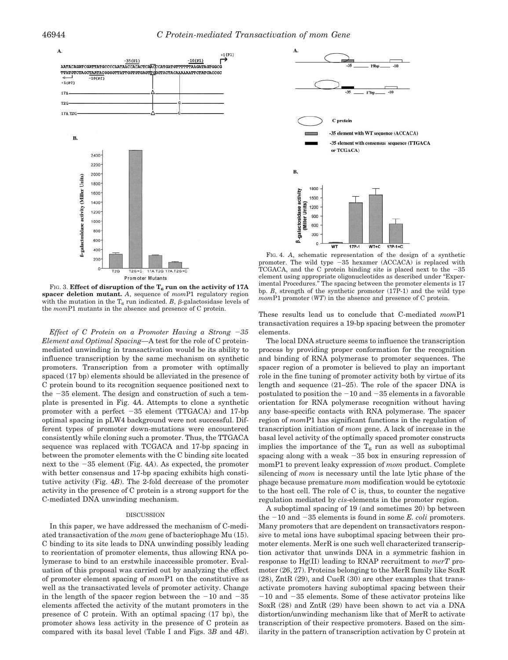$+1(P1)$ 



FIG. 3. **Effect of disruption of the T<sub>6</sub> run on the activity of 17A spacer deletion mutant.** *A*, sequence of *mom*P1 regulatory region with the mutation in the  $T<sub>6</sub>$  run indicated. *B*,  $\beta$ -galactosidase levels of the *mom*P1 mutants in the absence and presence of C protein.

*Effect of C Protein on a Promoter Having a Strong 35 Element and Optimal Spacing—*A test for the role of C proteinmediated unwinding in transactivation would be its ability to influence transcription by the same mechanism on synthetic promoters. Transcription from a promoter with optimally spaced (17 bp) elements should be alleviated in the presence of C protein bound to its recognition sequence positioned next to the  $-35$  element. The design and construction of such a template is presented in Fig. 4*A*. Attempts to clone a synthetic promoter with a perfect  $-35$  element (TTGACA) and 17-bp optimal spacing in pLW4 background were not successful. Different types of promoter down-mutations were encountered consistently while cloning such a promoter. Thus, the TTGACA sequence was replaced with TCGACA and 17-bp spacing in between the promoter elements with the C binding site located next to the  $-35$  element (Fig. 4*A*). As expected, the promoter with better consensus and 17-bp spacing exhibits high constitutive activity (Fig. 4*B*). The 2-fold decrease of the promoter activity in the presence of C protein is a strong support for the C-mediated DNA unwinding mechanism.

## DISCUSSION

In this paper, we have addressed the mechanism of C-mediated transactivation of the *mom* gene of bacteriophage Mu (15). C binding to its site leads to DNA unwinding possibly leading to reorientation of promoter elements, thus allowing RNA polymerase to bind to an erstwhile inaccessible promoter. Evaluation of this proposal was carried out by analyzing the effect of promoter element spacing of *mom*P1 on the constitutive as well as the transactivated levels of promoter activity. Change in the length of the spacer region between the  $-10$  and  $-35$ elements affected the activity of the mutant promoters in the presence of C protein. With an optimal spacing (17 bp), the promoter shows less activity in the presence of C protein as compared with its basal level (Table I and Figs. 3*B* and 4*B*).



FIG. 4. *A*, schematic representation of the design of a synthetic promoter. The wild type -35 hexamer (ACCACA) is replaced with TCGACA, and the C protein binding site is placed next to the  $-35$ element using appropriate oligonucleotides as described under "Experimental Procedures." The spacing between the promoter elements is 17 bp. *B*, strength of the synthetic promoter (17P-1) and the wild type *mom*P1 promoter (*WT*) in the absence and presence of C protein.

These results lead us to conclude that C-mediated *mom*P1 transactivation requires a 19-bp spacing between the promoter elements.

The local DNA structure seems to influence the transcription process by providing proper conformation for the recognition and binding of RNA polymerase to promoter sequences. The spacer region of a promoter is believed to play an important role in the fine tuning of promoter activity both by virtue of its length and sequence (21–25). The role of the spacer DNA is postulated to position the  $-10$  and  $-35$  elements in a favorable orientation for RNA polymerase recognition without having any base-specific contacts with RNA polymerase. The spacer region of *mom*P1 has significant functions in the regulation of transcription initiation of *mom* gene. A lack of increase in the basal level activity of the optimally spaced promoter constructs implies the importance of the  $T_6$  run as well as suboptimal spacing along with a weak  $-35$  box in ensuring repression of momP1 to prevent leaky expression of *mom* product. Complete silencing of *mom* is necessary until the late lytic phase of the phage because premature *mom* modification would be cytotoxic to the host cell. The role of C is, thus, to counter the negative regulation mediated by *cis*-elements in the promoter region.

A suboptimal spacing of 19 (and sometimes 20) bp between the  $-10$  and  $-35$  elements is found in some *E. coli* promoters. Many promoters that are dependent on transactivators responsive to metal ions have suboptimal spacing between their promoter elements. MerR is one such well characterized transcription activator that unwinds DNA in a symmetric fashion in response to Hg(II) leading to RNAP recruitment to *merT* promoter (26, 27). Proteins belonging to the MerR family like SoxR (28), ZntR (29), and CueR (30) are other examples that transactivate promoters having suboptimal spacing between their  $-10$  and  $-35$  elements. Some of these activator proteins like SoxR (28) and ZntR (29) have been shown to act via a DNA distortion/unwinding mechanism like that of MerR to activate transcription of their respective promoters. Based on the similarity in the pattern of transcription activation by C protein at